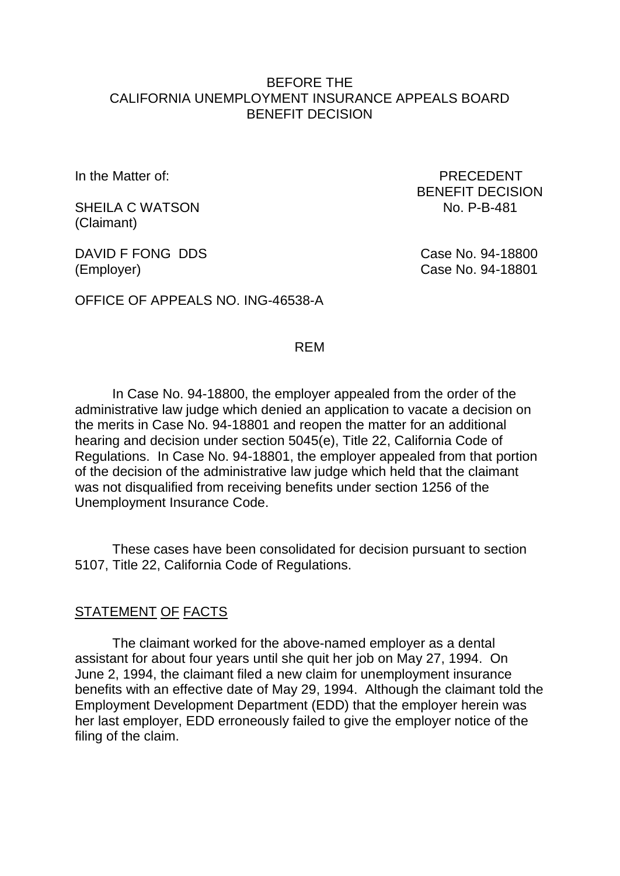### BEFORE THE CALIFORNIA UNEMPLOYMENT INSURANCE APPEALS BOARD BENEFIT DECISION

SHEILA C WATSON NO. P-B-481 (Claimant)

DAVID F FONG DDS Case No. 94-18800 (Employer) Case No. 94-18801

OFFICE OF APPEALS NO. ING-46538-A

In the Matter of: **PRECEDENT** BENEFIT DECISION

### REM

In Case No. 94-18800, the employer appealed from the order of the administrative law judge which denied an application to vacate a decision on the merits in Case No. 94-18801 and reopen the matter for an additional hearing and decision under section 5045(e), Title 22, California Code of Regulations. In Case No. 94-18801, the employer appealed from that portion of the decision of the administrative law judge which held that the claimant was not disqualified from receiving benefits under section 1256 of the Unemployment Insurance Code.

These cases have been consolidated for decision pursuant to section 5107, Title 22, California Code of Regulations.

### STATEMENT OF FACTS

The claimant worked for the above-named employer as a dental assistant for about four years until she quit her job on May 27, 1994. On June 2, 1994, the claimant filed a new claim for unemployment insurance benefits with an effective date of May 29, 1994. Although the claimant told the Employment Development Department (EDD) that the employer herein was her last employer, EDD erroneously failed to give the employer notice of the filing of the claim.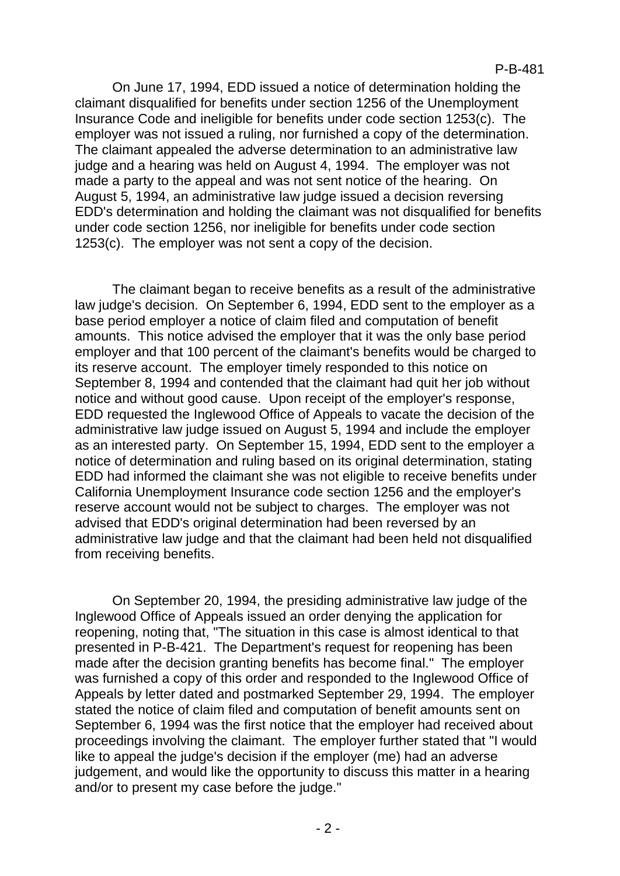On June 17, 1994, EDD issued a notice of determination holding the claimant disqualified for benefits under section 1256 of the Unemployment Insurance Code and ineligible for benefits under code section 1253(c). The employer was not issued a ruling, nor furnished a copy of the determination. The claimant appealed the adverse determination to an administrative law judge and a hearing was held on August 4, 1994. The employer was not made a party to the appeal and was not sent notice of the hearing. On August 5, 1994, an administrative law judge issued a decision reversing EDD's determination and holding the claimant was not disqualified for benefits under code section 1256, nor ineligible for benefits under code section 1253(c). The employer was not sent a copy of the decision.

The claimant began to receive benefits as a result of the administrative law judge's decision. On September 6, 1994, EDD sent to the employer as a base period employer a notice of claim filed and computation of benefit amounts. This notice advised the employer that it was the only base period employer and that 100 percent of the claimant's benefits would be charged to its reserve account. The employer timely responded to this notice on September 8, 1994 and contended that the claimant had quit her job without notice and without good cause. Upon receipt of the employer's response, EDD requested the Inglewood Office of Appeals to vacate the decision of the administrative law judge issued on August 5, 1994 and include the employer as an interested party. On September 15, 1994, EDD sent to the employer a notice of determination and ruling based on its original determination, stating EDD had informed the claimant she was not eligible to receive benefits under California Unemployment Insurance code section 1256 and the employer's reserve account would not be subject to charges. The employer was not advised that EDD's original determination had been reversed by an administrative law judge and that the claimant had been held not disqualified from receiving benefits.

On September 20, 1994, the presiding administrative law judge of the Inglewood Office of Appeals issued an order denying the application for reopening, noting that, "The situation in this case is almost identical to that presented in P-B-421. The Department's request for reopening has been made after the decision granting benefits has become final." The employer was furnished a copy of this order and responded to the Inglewood Office of Appeals by letter dated and postmarked September 29, 1994. The employer stated the notice of claim filed and computation of benefit amounts sent on September 6, 1994 was the first notice that the employer had received about proceedings involving the claimant. The employer further stated that "I would like to appeal the judge's decision if the employer (me) had an adverse judgement, and would like the opportunity to discuss this matter in a hearing and/or to present my case before the judge."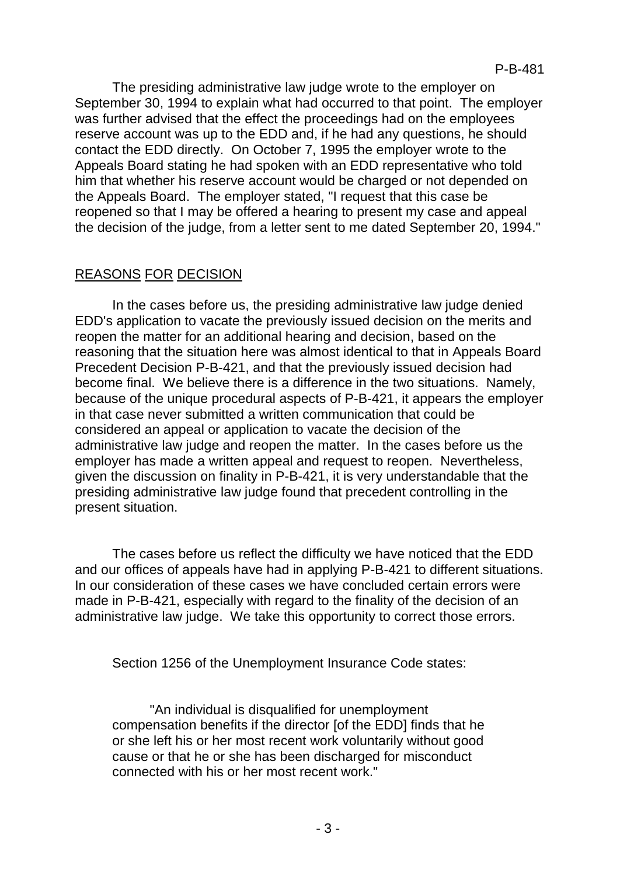The presiding administrative law judge wrote to the employer on September 30, 1994 to explain what had occurred to that point. The employer was further advised that the effect the proceedings had on the employees reserve account was up to the EDD and, if he had any questions, he should contact the EDD directly. On October 7, 1995 the employer wrote to the Appeals Board stating he had spoken with an EDD representative who told him that whether his reserve account would be charged or not depended on the Appeals Board. The employer stated, "I request that this case be reopened so that I may be offered a hearing to present my case and appeal the decision of the judge, from a letter sent to me dated September 20, 1994."

# REASONS FOR DECISION

In the cases before us, the presiding administrative law judge denied EDD's application to vacate the previously issued decision on the merits and reopen the matter for an additional hearing and decision, based on the reasoning that the situation here was almost identical to that in Appeals Board Precedent Decision P-B-421, and that the previously issued decision had become final. We believe there is a difference in the two situations. Namely, because of the unique procedural aspects of P-B-421, it appears the employer in that case never submitted a written communication that could be considered an appeal or application to vacate the decision of the administrative law judge and reopen the matter. In the cases before us the employer has made a written appeal and request to reopen. Nevertheless, given the discussion on finality in P-B-421, it is very understandable that the presiding administrative law judge found that precedent controlling in the present situation.

The cases before us reflect the difficulty we have noticed that the EDD and our offices of appeals have had in applying P-B-421 to different situations. In our consideration of these cases we have concluded certain errors were made in P-B-421, especially with regard to the finality of the decision of an administrative law judge. We take this opportunity to correct those errors.

Section 1256 of the Unemployment Insurance Code states:

"An individual is disqualified for unemployment compensation benefits if the director [of the EDD] finds that he or she left his or her most recent work voluntarily without good cause or that he or she has been discharged for misconduct connected with his or her most recent work."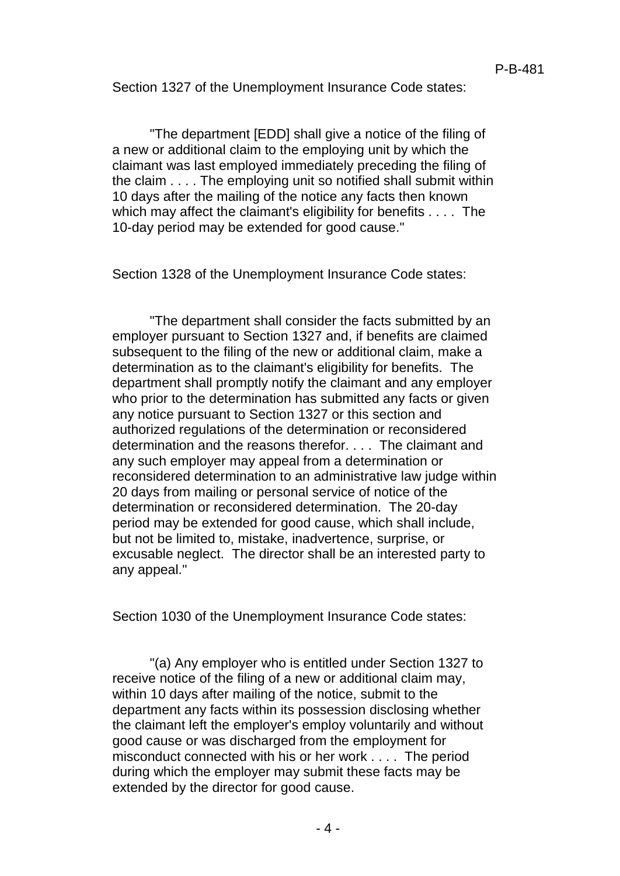Section 1327 of the Unemployment Insurance Code states:

"The department [EDD] shall give a notice of the filing of a new or additional claim to the employing unit by which the claimant was last employed immediately preceding the filing of the claim . . . . The employing unit so notified shall submit within 10 days after the mailing of the notice any facts then known which may affect the claimant's eligibility for benefits . . . . The 10-day period may be extended for good cause."

Section 1328 of the Unemployment Insurance Code states:

"The department shall consider the facts submitted by an employer pursuant to Section 1327 and, if benefits are claimed subsequent to the filing of the new or additional claim, make a determination as to the claimant's eligibility for benefits. The department shall promptly notify the claimant and any employer who prior to the determination has submitted any facts or given any notice pursuant to Section 1327 or this section and authorized regulations of the determination or reconsidered determination and the reasons therefor. . . . The claimant and any such employer may appeal from a determination or reconsidered determination to an administrative law judge within 20 days from mailing or personal service of notice of the determination or reconsidered determination. The 20-day period may be extended for good cause, which shall include, but not be limited to, mistake, inadvertence, surprise, or excusable neglect. The director shall be an interested party to any appeal."

Section 1030 of the Unemployment Insurance Code states:

"(a) Any employer who is entitled under Section 1327 to receive notice of the filing of a new or additional claim may, within 10 days after mailing of the notice, submit to the department any facts within its possession disclosing whether the claimant left the employer's employ voluntarily and without good cause or was discharged from the employment for misconduct connected with his or her work . . . . The period during which the employer may submit these facts may be extended by the director for good cause.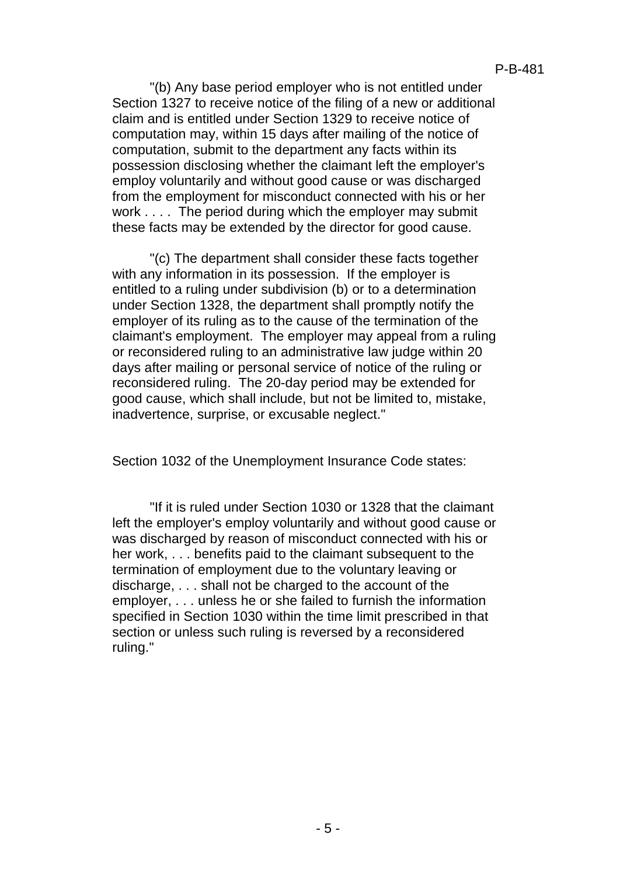"(b) Any base period employer who is not entitled under Section 1327 to receive notice of the filing of a new or additional claim and is entitled under Section 1329 to receive notice of computation may, within 15 days after mailing of the notice of computation, submit to the department any facts within its possession disclosing whether the claimant left the employer's employ voluntarily and without good cause or was discharged from the employment for misconduct connected with his or her work . . . . The period during which the employer may submit these facts may be extended by the director for good cause.

"(c) The department shall consider these facts together with any information in its possession. If the employer is entitled to a ruling under subdivision (b) or to a determination under Section 1328, the department shall promptly notify the employer of its ruling as to the cause of the termination of the claimant's employment. The employer may appeal from a ruling or reconsidered ruling to an administrative law judge within 20 days after mailing or personal service of notice of the ruling or reconsidered ruling. The 20-day period may be extended for good cause, which shall include, but not be limited to, mistake, inadvertence, surprise, or excusable neglect."

Section 1032 of the Unemployment Insurance Code states:

"If it is ruled under Section 1030 or 1328 that the claimant left the employer's employ voluntarily and without good cause or was discharged by reason of misconduct connected with his or her work, . . . benefits paid to the claimant subsequent to the termination of employment due to the voluntary leaving or discharge, . . . shall not be charged to the account of the employer, . . . unless he or she failed to furnish the information specified in Section 1030 within the time limit prescribed in that section or unless such ruling is reversed by a reconsidered ruling."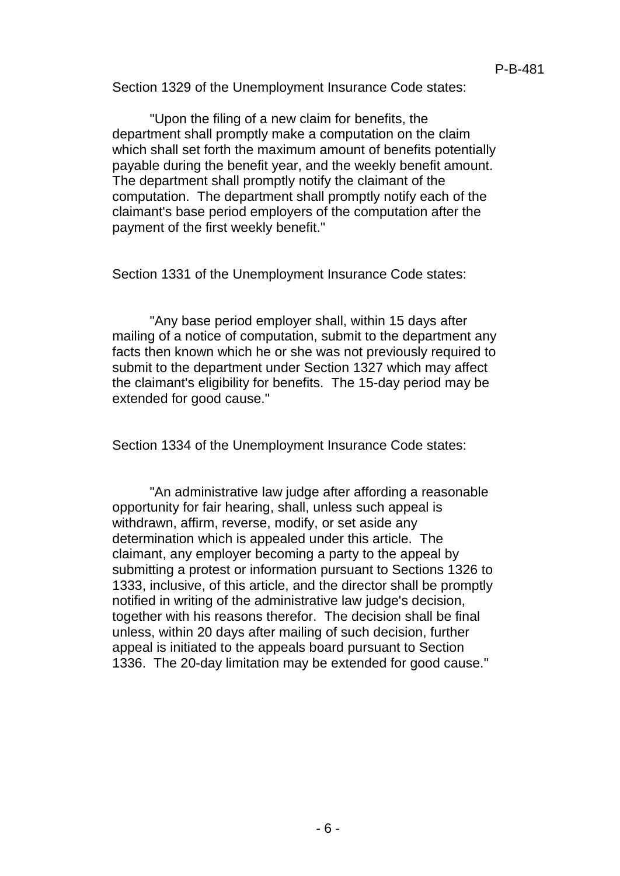Section 1329 of the Unemployment Insurance Code states:

"Upon the filing of a new claim for benefits, the department shall promptly make a computation on the claim which shall set forth the maximum amount of benefits potentially payable during the benefit year, and the weekly benefit amount. The department shall promptly notify the claimant of the computation. The department shall promptly notify each of the claimant's base period employers of the computation after the payment of the first weekly benefit."

Section 1331 of the Unemployment Insurance Code states:

"Any base period employer shall, within 15 days after mailing of a notice of computation, submit to the department any facts then known which he or she was not previously required to submit to the department under Section 1327 which may affect the claimant's eligibility for benefits. The 15-day period may be extended for good cause."

Section 1334 of the Unemployment Insurance Code states:

"An administrative law judge after affording a reasonable opportunity for fair hearing, shall, unless such appeal is withdrawn, affirm, reverse, modify, or set aside any determination which is appealed under this article. The claimant, any employer becoming a party to the appeal by submitting a protest or information pursuant to Sections 1326 to 1333, inclusive, of this article, and the director shall be promptly notified in writing of the administrative law judge's decision, together with his reasons therefor. The decision shall be final unless, within 20 days after mailing of such decision, further appeal is initiated to the appeals board pursuant to Section 1336. The 20-day limitation may be extended for good cause."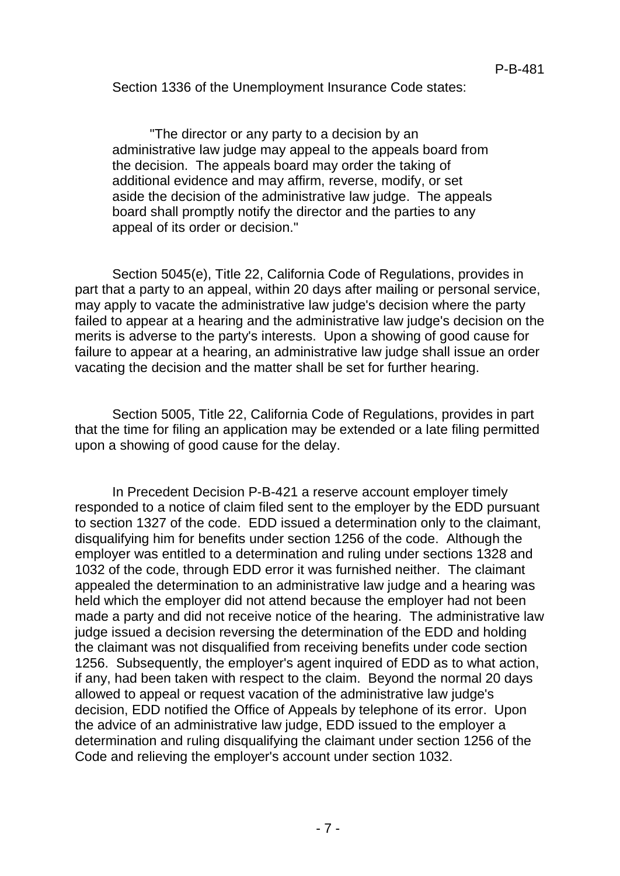Section 1336 of the Unemployment Insurance Code states:

"The director or any party to a decision by an administrative law judge may appeal to the appeals board from the decision. The appeals board may order the taking of additional evidence and may affirm, reverse, modify, or set aside the decision of the administrative law judge. The appeals board shall promptly notify the director and the parties to any appeal of its order or decision."

Section 5045(e), Title 22, California Code of Regulations, provides in part that a party to an appeal, within 20 days after mailing or personal service, may apply to vacate the administrative law judge's decision where the party failed to appear at a hearing and the administrative law judge's decision on the merits is adverse to the party's interests. Upon a showing of good cause for failure to appear at a hearing, an administrative law judge shall issue an order vacating the decision and the matter shall be set for further hearing.

Section 5005, Title 22, California Code of Regulations, provides in part that the time for filing an application may be extended or a late filing permitted upon a showing of good cause for the delay.

In Precedent Decision P-B-421 a reserve account employer timely responded to a notice of claim filed sent to the employer by the EDD pursuant to section 1327 of the code. EDD issued a determination only to the claimant, disqualifying him for benefits under section 1256 of the code. Although the employer was entitled to a determination and ruling under sections 1328 and 1032 of the code, through EDD error it was furnished neither. The claimant appealed the determination to an administrative law judge and a hearing was held which the employer did not attend because the employer had not been made a party and did not receive notice of the hearing. The administrative law judge issued a decision reversing the determination of the EDD and holding the claimant was not disqualified from receiving benefits under code section 1256. Subsequently, the employer's agent inquired of EDD as to what action, if any, had been taken with respect to the claim. Beyond the normal 20 days allowed to appeal or request vacation of the administrative law judge's decision, EDD notified the Office of Appeals by telephone of its error. Upon the advice of an administrative law judge, EDD issued to the employer a determination and ruling disqualifying the claimant under section 1256 of the Code and relieving the employer's account under section 1032.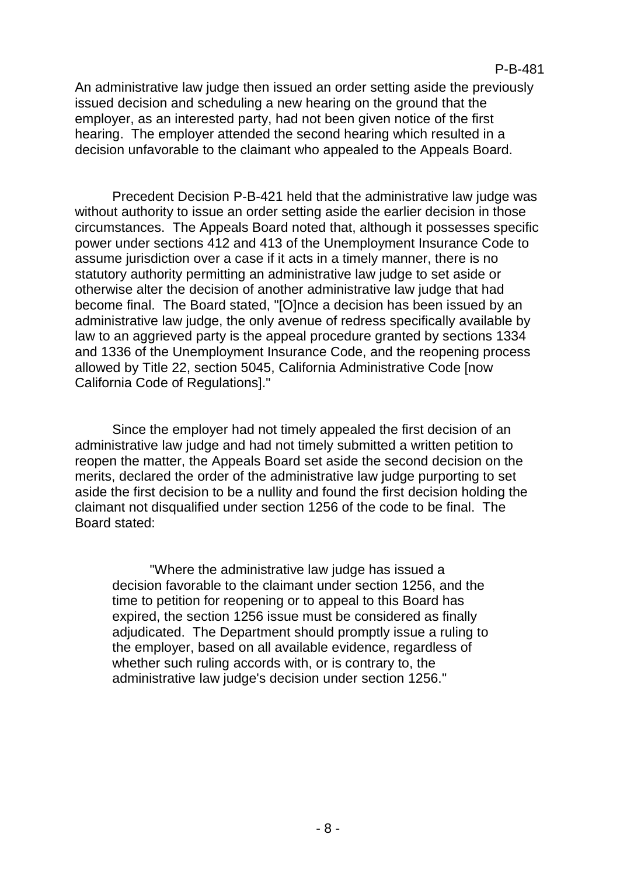An administrative law judge then issued an order setting aside the previously issued decision and scheduling a new hearing on the ground that the employer, as an interested party, had not been given notice of the first hearing. The employer attended the second hearing which resulted in a decision unfavorable to the claimant who appealed to the Appeals Board.

Precedent Decision P-B-421 held that the administrative law judge was without authority to issue an order setting aside the earlier decision in those circumstances. The Appeals Board noted that, although it possesses specific power under sections 412 and 413 of the Unemployment Insurance Code to assume jurisdiction over a case if it acts in a timely manner, there is no statutory authority permitting an administrative law judge to set aside or otherwise alter the decision of another administrative law judge that had become final. The Board stated, "[O]nce a decision has been issued by an administrative law judge, the only avenue of redress specifically available by law to an aggrieved party is the appeal procedure granted by sections 1334 and 1336 of the Unemployment Insurance Code, and the reopening process allowed by Title 22, section 5045, California Administrative Code [now California Code of Regulations]."

Since the employer had not timely appealed the first decision of an administrative law judge and had not timely submitted a written petition to reopen the matter, the Appeals Board set aside the second decision on the merits, declared the order of the administrative law judge purporting to set aside the first decision to be a nullity and found the first decision holding the claimant not disqualified under section 1256 of the code to be final. The Board stated:

"Where the administrative law judge has issued a decision favorable to the claimant under section 1256, and the time to petition for reopening or to appeal to this Board has expired, the section 1256 issue must be considered as finally adjudicated. The Department should promptly issue a ruling to the employer, based on all available evidence, regardless of whether such ruling accords with, or is contrary to, the administrative law judge's decision under section 1256."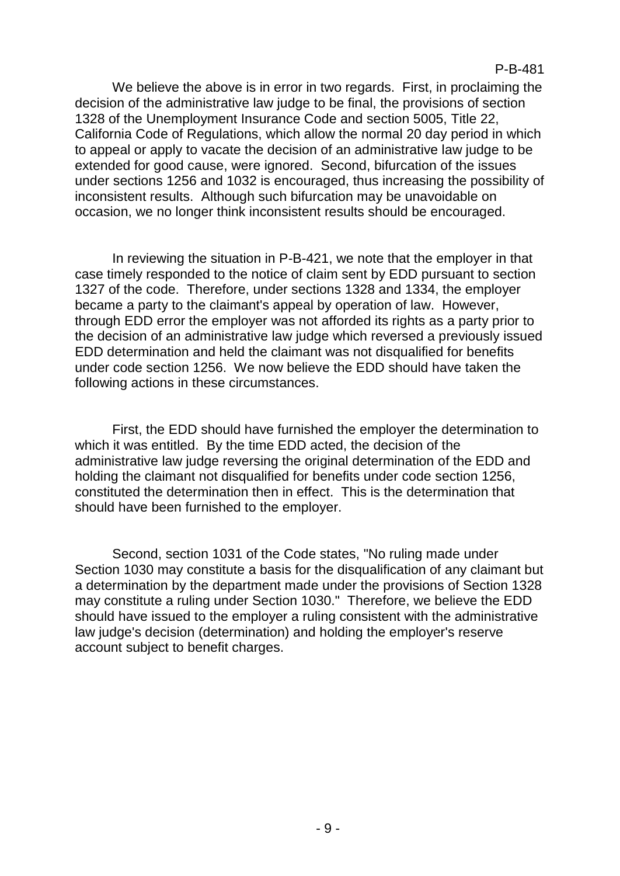We believe the above is in error in two regards. First, in proclaiming the decision of the administrative law judge to be final, the provisions of section 1328 of the Unemployment Insurance Code and section 5005, Title 22, California Code of Regulations, which allow the normal 20 day period in which to appeal or apply to vacate the decision of an administrative law judge to be extended for good cause, were ignored. Second, bifurcation of the issues under sections 1256 and 1032 is encouraged, thus increasing the possibility of inconsistent results. Although such bifurcation may be unavoidable on occasion, we no longer think inconsistent results should be encouraged.

In reviewing the situation in P-B-421, we note that the employer in that case timely responded to the notice of claim sent by EDD pursuant to section 1327 of the code. Therefore, under sections 1328 and 1334, the employer became a party to the claimant's appeal by operation of law. However, through EDD error the employer was not afforded its rights as a party prior to the decision of an administrative law judge which reversed a previously issued EDD determination and held the claimant was not disqualified for benefits under code section 1256. We now believe the EDD should have taken the following actions in these circumstances.

First, the EDD should have furnished the employer the determination to which it was entitled. By the time EDD acted, the decision of the administrative law judge reversing the original determination of the EDD and holding the claimant not disqualified for benefits under code section 1256, constituted the determination then in effect. This is the determination that should have been furnished to the employer.

Second, section 1031 of the Code states, "No ruling made under Section 1030 may constitute a basis for the disqualification of any claimant but a determination by the department made under the provisions of Section 1328 may constitute a ruling under Section 1030." Therefore, we believe the EDD should have issued to the employer a ruling consistent with the administrative law judge's decision (determination) and holding the employer's reserve account subject to benefit charges.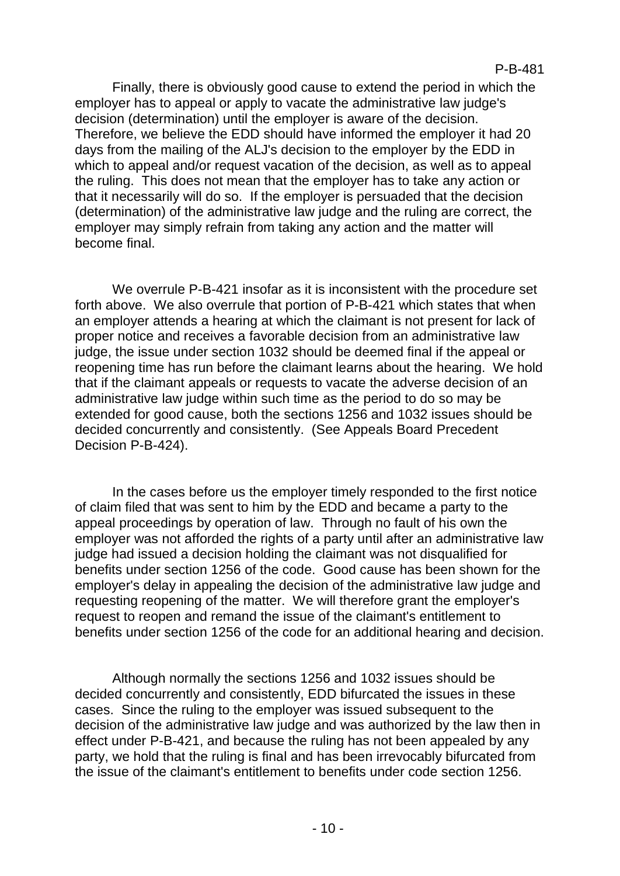Finally, there is obviously good cause to extend the period in which the employer has to appeal or apply to vacate the administrative law judge's decision (determination) until the employer is aware of the decision. Therefore, we believe the EDD should have informed the employer it had 20 days from the mailing of the ALJ's decision to the employer by the EDD in which to appeal and/or request vacation of the decision, as well as to appeal the ruling. This does not mean that the employer has to take any action or that it necessarily will do so. If the employer is persuaded that the decision (determination) of the administrative law judge and the ruling are correct, the employer may simply refrain from taking any action and the matter will become final.

We overrule P-B-421 insofar as it is inconsistent with the procedure set forth above. We also overrule that portion of P-B-421 which states that when an employer attends a hearing at which the claimant is not present for lack of proper notice and receives a favorable decision from an administrative law judge, the issue under section 1032 should be deemed final if the appeal or reopening time has run before the claimant learns about the hearing. We hold that if the claimant appeals or requests to vacate the adverse decision of an administrative law judge within such time as the period to do so may be extended for good cause, both the sections 1256 and 1032 issues should be decided concurrently and consistently. (See Appeals Board Precedent Decision P-B-424).

In the cases before us the employer timely responded to the first notice of claim filed that was sent to him by the EDD and became a party to the appeal proceedings by operation of law. Through no fault of his own the employer was not afforded the rights of a party until after an administrative law judge had issued a decision holding the claimant was not disqualified for benefits under section 1256 of the code. Good cause has been shown for the employer's delay in appealing the decision of the administrative law judge and requesting reopening of the matter. We will therefore grant the employer's request to reopen and remand the issue of the claimant's entitlement to benefits under section 1256 of the code for an additional hearing and decision.

Although normally the sections 1256 and 1032 issues should be decided concurrently and consistently, EDD bifurcated the issues in these cases. Since the ruling to the employer was issued subsequent to the decision of the administrative law judge and was authorized by the law then in effect under P-B-421, and because the ruling has not been appealed by any party, we hold that the ruling is final and has been irrevocably bifurcated from the issue of the claimant's entitlement to benefits under code section 1256.